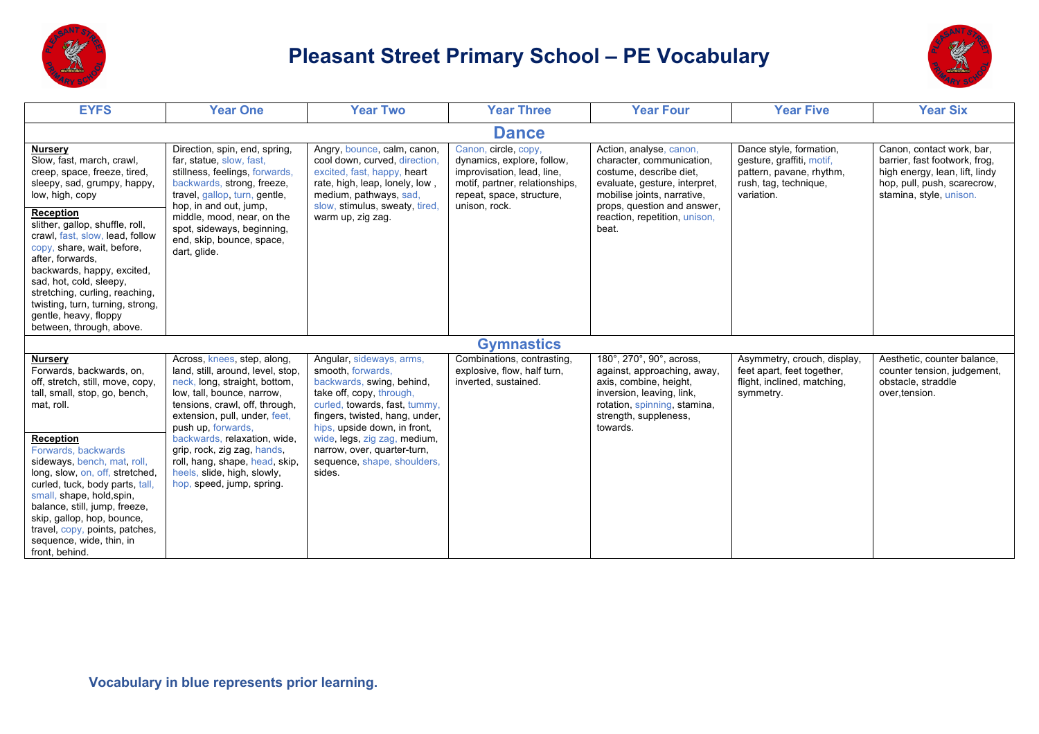

## **Pleasant Street Primary School – PE Vocabulary**



| <b>EYFS</b>                                                                                                                                                                                                                                                                                                                                                                                                                                                   | <b>Year One</b>                                                                                                                                                                                                                                                                                                                                                                       | <b>Year Two</b>                                                                                                                                                                                                                                                                                                   | <b>Year Three</b>                                                                                                                                                | <b>Year Four</b>                                                                                                                                                                                                         | <b>Year Five</b>                                                                                                        | <b>Year Six</b>                                                                                                                                        |  |  |  |  |
|---------------------------------------------------------------------------------------------------------------------------------------------------------------------------------------------------------------------------------------------------------------------------------------------------------------------------------------------------------------------------------------------------------------------------------------------------------------|---------------------------------------------------------------------------------------------------------------------------------------------------------------------------------------------------------------------------------------------------------------------------------------------------------------------------------------------------------------------------------------|-------------------------------------------------------------------------------------------------------------------------------------------------------------------------------------------------------------------------------------------------------------------------------------------------------------------|------------------------------------------------------------------------------------------------------------------------------------------------------------------|--------------------------------------------------------------------------------------------------------------------------------------------------------------------------------------------------------------------------|-------------------------------------------------------------------------------------------------------------------------|--------------------------------------------------------------------------------------------------------------------------------------------------------|--|--|--|--|
| <b>Dance</b>                                                                                                                                                                                                                                                                                                                                                                                                                                                  |                                                                                                                                                                                                                                                                                                                                                                                       |                                                                                                                                                                                                                                                                                                                   |                                                                                                                                                                  |                                                                                                                                                                                                                          |                                                                                                                         |                                                                                                                                                        |  |  |  |  |
| <u>Nursery</u><br>Slow, fast, march, crawl,<br>creep, space, freeze, tired,<br>sleepy, sad, grumpy, happy,<br>low, high, copy<br><b>Reception</b><br>slither, gallop, shuffle, roll,<br>crawl, fast, slow, lead, follow<br>copy, share, wait, before,<br>after, forwards,<br>backwards, happy, excited,<br>sad, hot, cold, sleepy,<br>stretching, curling, reaching,<br>twisting, turn, turning, strong,<br>gentle, heavy, floppy<br>between, through, above. | Direction, spin, end, spring,<br>far, statue, slow, fast,<br>stillness, feelings, forwards,<br>backwards, strong, freeze,<br>travel, gallop, turn, gentle,<br>hop, in and out, jump,<br>middle, mood, near, on the<br>spot, sideways, beginning,<br>end, skip, bounce, space,<br>dart, glide.                                                                                         | Angry, bounce, calm, canon,<br>cool down, curved, direction,<br>excited, fast, happy, heart<br>rate, high, leap, lonely, low,<br>medium, pathways, sad,<br>slow, stimulus, sweaty, tired<br>warm up, zig zag.                                                                                                     | Canon, circle, copy,<br>dynamics, explore, follow,<br>improvisation, lead, line,<br>motif, partner, relationships,<br>repeat, space, structure,<br>unison, rock. | Action, analyse, canon,<br>character, communication,<br>costume, describe diet,<br>evaluate, gesture, interpret,<br>mobilise joints, narrative,<br>props, question and answer,<br>reaction, repetition, unison,<br>beat. | Dance style, formation,<br>gesture, graffiti, motif,<br>pattern, pavane, rhythm,<br>rush, tag, technique,<br>variation. | Canon, contact work, bar,<br>barrier, fast footwork, frog,<br>high energy, lean, lift, lindy<br>hop, pull, push, scarecrow,<br>stamina, style, unison. |  |  |  |  |
|                                                                                                                                                                                                                                                                                                                                                                                                                                                               |                                                                                                                                                                                                                                                                                                                                                                                       |                                                                                                                                                                                                                                                                                                                   | <b>Gymnastics</b>                                                                                                                                                |                                                                                                                                                                                                                          |                                                                                                                         |                                                                                                                                                        |  |  |  |  |
| <b>Nursery</b><br>Forwards, backwards, on,<br>off, stretch, still, move, copy,<br>tall, small, stop, go, bench,<br>mat, roll.<br><b>Reception</b><br>Forwards, backwards<br>sideways, bench, mat, roll,<br>long, slow, on, off, stretched,<br>curled, tuck, body parts, tall,<br>small, shape, hold, spin,<br>balance, still, jump, freeze,<br>skip, gallop, hop, bounce,<br>travel, copy, points, patches,<br>sequence, wide, thin, in<br>front, behind.     | Across, knees, step, along,<br>land, still, around, level, stop,<br>neck, long, straight, bottom,<br>low, tall, bounce, narrow,<br>tensions, crawl, off, through,<br>extension, pull, under, feet,<br>push up, forwards,<br>backwards, relaxation, wide,<br>grip, rock, zig zag, hands,<br>roll, hang, shape, head, skip,<br>heels, slide, high, slowly,<br>hop, speed, jump, spring. | Angular, sideways, arms,<br>smooth, forwards,<br>backwards, swing, behind,<br>take off, copy, through,<br>curled, towards, fast, tummy,<br>fingers, twisted, hang, under,<br>hips, upside down, in front,<br>wide, legs, zig zag, medium,<br>narrow, over, quarter-turn,<br>sequence, shape, shoulders,<br>sides. | Combinations, contrasting,<br>explosive, flow, half turn,<br>inverted, sustained.                                                                                | 180°, 270°, 90°, across,<br>against, approaching, away,<br>axis, combine, height,<br>inversion, leaving, link,<br>rotation, spinning, stamina,<br>strength, suppleness,<br>towards.                                      | Asymmetry, crouch, display,<br>feet apart, feet together,<br>flight, inclined, matching,<br>symmetry.                   | Aesthetic, counter balance,<br>counter tension, judgement,<br>obstacle, straddle<br>over, tension.                                                     |  |  |  |  |